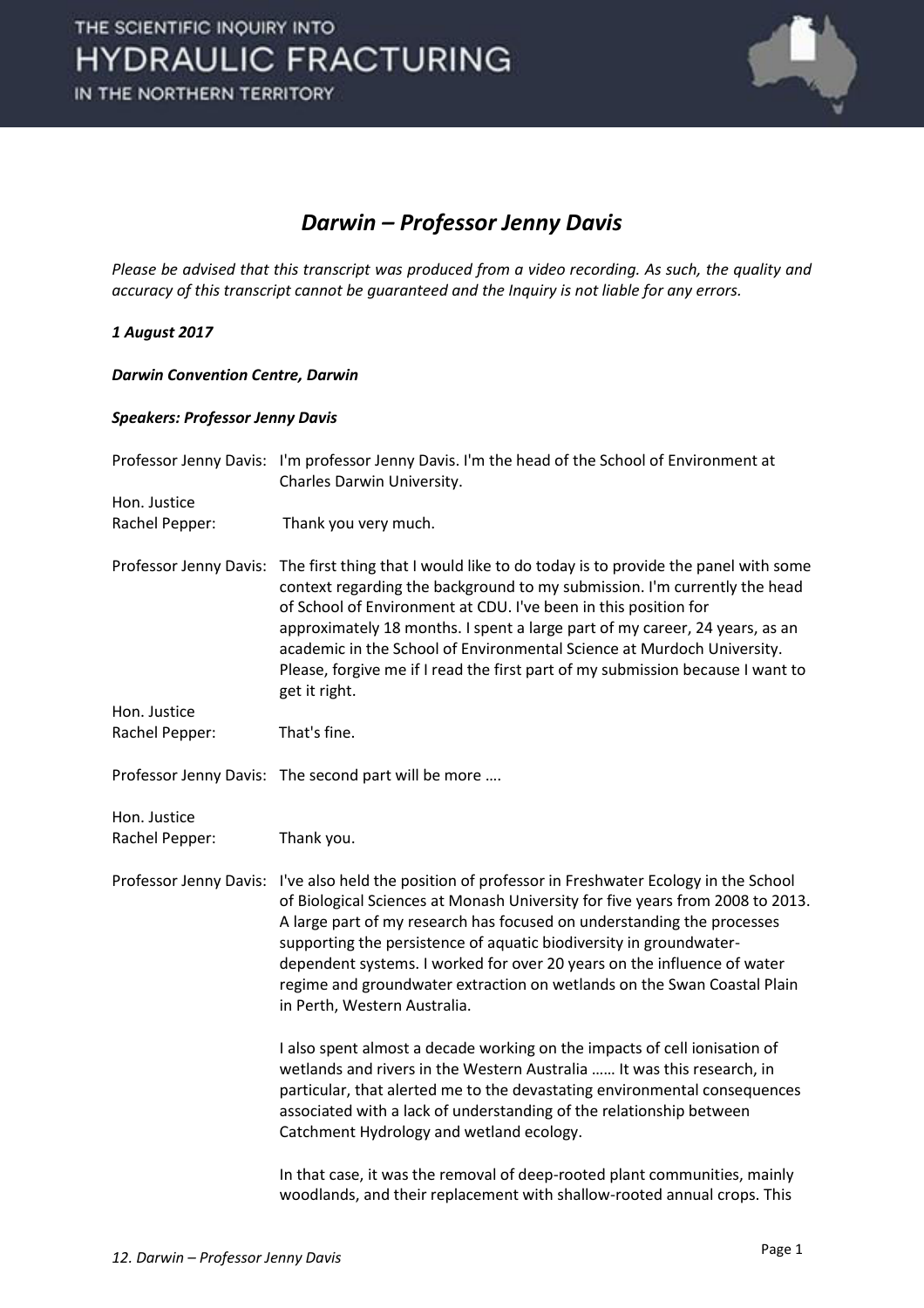

#### *Darwin – Professor Jenny Davis*

*Please be advised that this transcript was produced from a video recording. As such, the quality and accuracy of this transcript cannot be guaranteed and the Inquiry is not liable for any errors.* 

#### *1 August 2017*

#### *Darwin Convention Centre, Darwin*

#### *Speakers: Professor Jenny Davis*

|                                | Professor Jenny Davis: I'm professor Jenny Davis. I'm the head of the School of Environment at<br>Charles Darwin University.                                                                                                                                                                                                                                                                                                                                                                                               |
|--------------------------------|----------------------------------------------------------------------------------------------------------------------------------------------------------------------------------------------------------------------------------------------------------------------------------------------------------------------------------------------------------------------------------------------------------------------------------------------------------------------------------------------------------------------------|
| Hon. Justice                   |                                                                                                                                                                                                                                                                                                                                                                                                                                                                                                                            |
| Rachel Pepper:                 | Thank you very much.                                                                                                                                                                                                                                                                                                                                                                                                                                                                                                       |
| Professor Jenny Davis:         | The first thing that I would like to do today is to provide the panel with some<br>context regarding the background to my submission. I'm currently the head<br>of School of Environment at CDU. I've been in this position for<br>approximately 18 months. I spent a large part of my career, 24 years, as an<br>academic in the School of Environmental Science at Murdoch University.<br>Please, forgive me if I read the first part of my submission because I want to<br>get it right.                                |
| Hon. Justice                   |                                                                                                                                                                                                                                                                                                                                                                                                                                                                                                                            |
| Rachel Pepper:                 | That's fine.                                                                                                                                                                                                                                                                                                                                                                                                                                                                                                               |
|                                | Professor Jenny Davis: The second part will be more                                                                                                                                                                                                                                                                                                                                                                                                                                                                        |
| Hon. Justice<br>Rachel Pepper: | Thank you.                                                                                                                                                                                                                                                                                                                                                                                                                                                                                                                 |
|                                | Professor Jenny Davis: I've also held the position of professor in Freshwater Ecology in the School<br>of Biological Sciences at Monash University for five years from 2008 to 2013.<br>A large part of my research has focused on understanding the processes<br>supporting the persistence of aquatic biodiversity in groundwater-<br>dependent systems. I worked for over 20 years on the influence of water<br>regime and groundwater extraction on wetlands on the Swan Coastal Plain<br>in Perth, Western Australia. |
|                                | I also spent almost a decade working on the impacts of cell ionisation of<br>wetlands and rivers in the Western Australia  It was this research, in<br>particular, that alerted me to the devastating environmental consequences<br>associated with a lack of understanding of the relationship between<br>Catchment Hydrology and wetland ecology.                                                                                                                                                                        |
|                                | In that case, it was the removal of deep-rooted plant communities, mainly<br>woodlands, and their replacement with shallow-rooted annual crops. This                                                                                                                                                                                                                                                                                                                                                                       |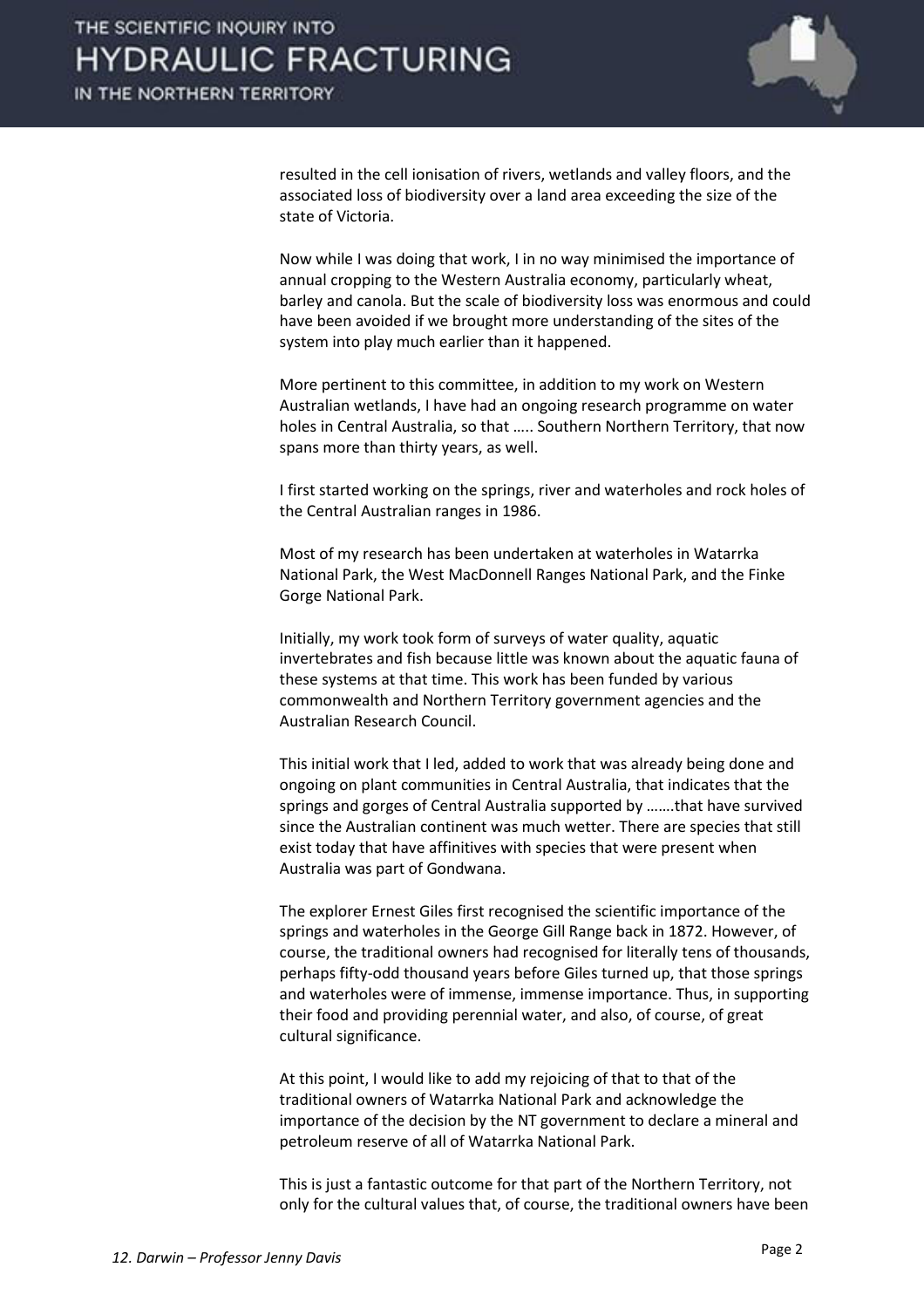

resulted in the cell ionisation of rivers, wetlands and valley floors, and the associated loss of biodiversity over a land area exceeding the size of the state of Victoria.

 Now while I was doing that work, I in no way minimised the importance of annual cropping to the Western Australia economy, particularly wheat, barley and canola. But the scale of biodiversity loss was enormous and could have been avoided if we brought more understanding of the sites of the system into play much earlier than it happened.

 More pertinent to this committee, in addition to my work on Western Australian wetlands, I have had an ongoing research programme on water holes in Central Australia, so that ..... Southern Northern Territory, that now spans more than thirty years, as well.

 I first started working on the springs, river and waterholes and rock holes of the Central Australian ranges in 1986.

 Most of my research has been undertaken at waterholes in Watarrka National Park, the West MacDonnell Ranges National Park, and the Finke Gorge National Park.

 Initially, my work took form of surveys of water quality, aquatic invertebrates and fish because little was known about the aquatic fauna of these systems at that time. This work has been funded by various commonwealth and Northern Territory government agencies and the Australian Research Council.

 This initial work that I led, added to work that was already being done and ongoing on plant communities in Central Australia, that indicates that the springs and gorges of Central Australia supported by …….that have survived since the Australian continent was much wetter. There are species that still exist today that have affinitives with species that were present when Australia was part of Gondwana.

 The explorer Ernest Giles first recognised the scientific importance of the springs and waterholes in the George Gill Range back in 1872. However, of course, the traditional owners had recognised for literally tens of thousands, perhaps fifty-odd thousand years before Giles turned up, that those springs and waterholes were of immense, immense importance. Thus, in supporting their food and providing perennial water, and also, of course, of great cultural significance.

 At this point, I would like to add my rejoicing of that to that of the traditional owners of Watarrka National Park and acknowledge the importance of the decision by the NT government to declare a mineral and petroleum reserve of all of Watarrka National Park.

 This is just a fantastic outcome for that part of the Northern Territory, not only for the cultural values that, of course, the traditional owners have been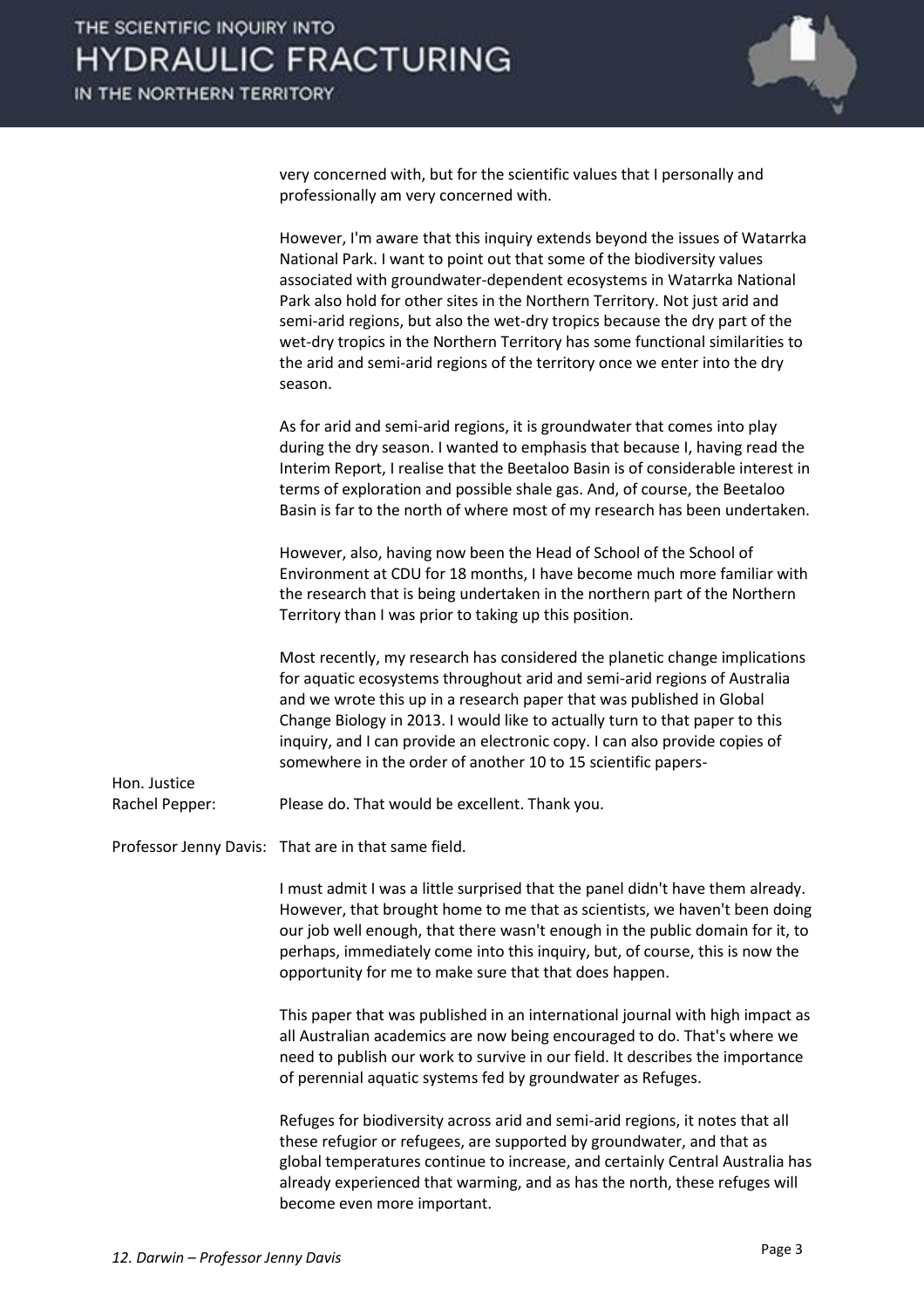

very concerned with, but for the scientific values that I personally and professionally am very concerned with.

|                                | However, I'm aware that this inquiry extends beyond the issues of Watarrka<br>National Park. I want to point out that some of the biodiversity values<br>associated with groundwater-dependent ecosystems in Watarrka National<br>Park also hold for other sites in the Northern Territory. Not just arid and<br>semi-arid regions, but also the wet-dry tropics because the dry part of the<br>wet-dry tropics in the Northern Territory has some functional similarities to<br>the arid and semi-arid regions of the territory once we enter into the dry<br>season. |
|--------------------------------|------------------------------------------------------------------------------------------------------------------------------------------------------------------------------------------------------------------------------------------------------------------------------------------------------------------------------------------------------------------------------------------------------------------------------------------------------------------------------------------------------------------------------------------------------------------------|
|                                | As for arid and semi-arid regions, it is groundwater that comes into play<br>during the dry season. I wanted to emphasis that because I, having read the<br>Interim Report, I realise that the Beetaloo Basin is of considerable interest in<br>terms of exploration and possible shale gas. And, of course, the Beetaloo<br>Basin is far to the north of where most of my research has been undertaken.                                                                                                                                                               |
|                                | However, also, having now been the Head of School of the School of<br>Environment at CDU for 18 months, I have become much more familiar with<br>the research that is being undertaken in the northern part of the Northern<br>Territory than I was prior to taking up this position.                                                                                                                                                                                                                                                                                  |
|                                | Most recently, my research has considered the planetic change implications<br>for aquatic ecosystems throughout arid and semi-arid regions of Australia<br>and we wrote this up in a research paper that was published in Global<br>Change Biology in 2013. I would like to actually turn to that paper to this<br>inquiry, and I can provide an electronic copy. I can also provide copies of<br>somewhere in the order of another 10 to 15 scientific papers-                                                                                                        |
| Hon. Justice<br>Rachel Pepper: | Please do. That would be excellent. Thank you.                                                                                                                                                                                                                                                                                                                                                                                                                                                                                                                         |
|                                | Professor Jenny Davis: That are in that same field.                                                                                                                                                                                                                                                                                                                                                                                                                                                                                                                    |
|                                | I must admit I was a little surprised that the panel didn't have them already.<br>However, that brought home to me that as scientists, we haven't been doing<br>our job well enough, that there wasn't enough in the public domain for it, to<br>perhaps, immediately come into this inquiry, but, of course, this is now the<br>opportunity for me to make sure that that does happen.                                                                                                                                                                                |
|                                | This paper that was published in an international journal with high impact as<br>all Australian academics are now being encouraged to do. That's where we<br>need to publish our work to survive in our field. It describes the importance<br>of perennial aquatic systems fed by groundwater as Refuges.                                                                                                                                                                                                                                                              |
|                                | Refuges for biodiversity across arid and semi-arid regions, it notes that all<br>these refugior or refugees, are supported by groundwater, and that as<br>global temperatures continue to increase, and certainly Central Australia has<br>already experienced that warming, and as has the north, these refuges will<br>become even more important.                                                                                                                                                                                                                   |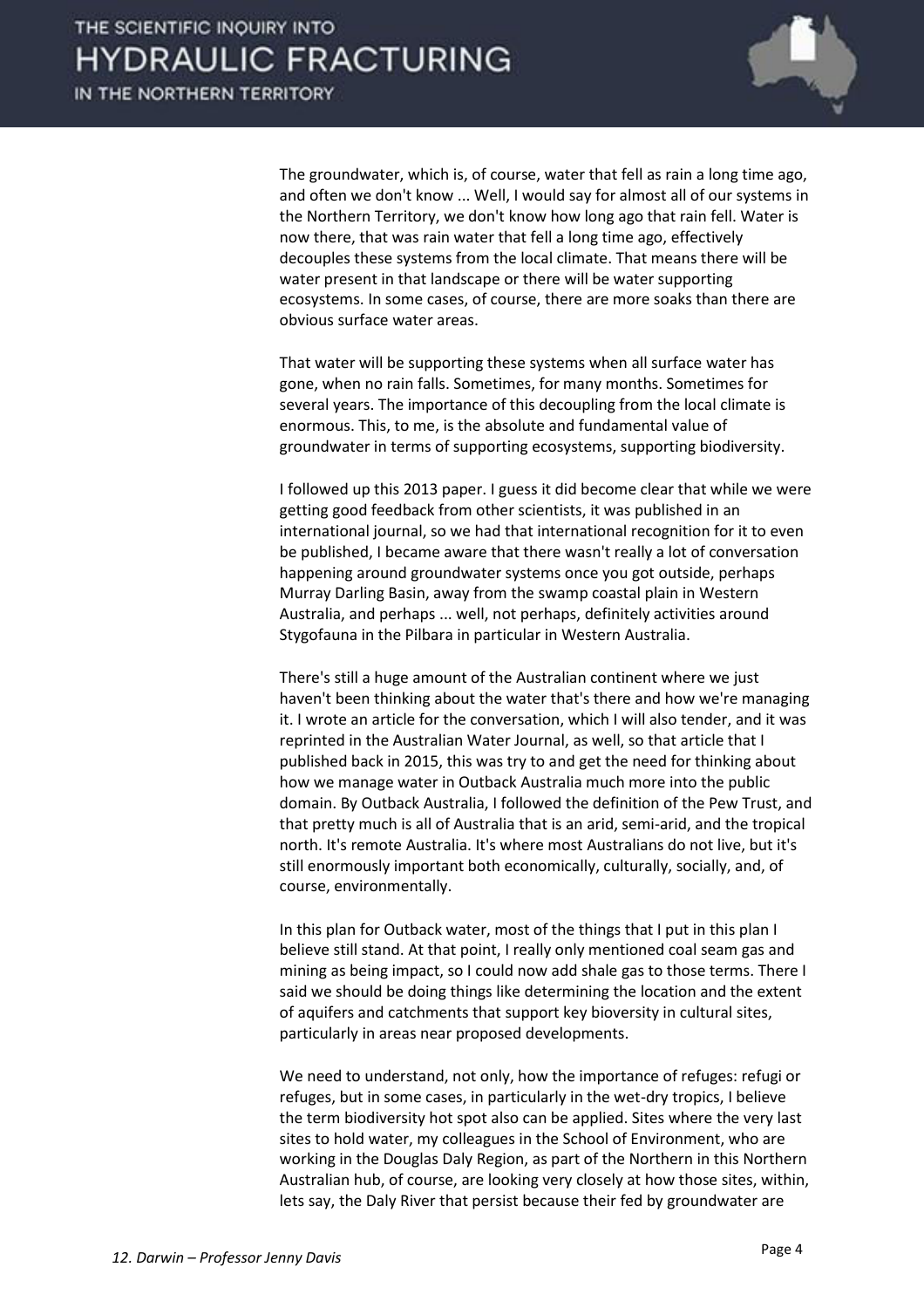

 The groundwater, which is, of course, water that fell as rain a long time ago, and often we don't know ... Well, I would say for almost all of our systems in the Northern Territory, we don't know how long ago that rain fell. Water is now there, that was rain water that fell a long time ago, effectively decouples these systems from the local climate. That means there will be water present in that landscape or there will be water supporting ecosystems. In some cases, of course, there are more soaks than there are obvious surface water areas.

 That water will be supporting these systems when all surface water has gone, when no rain falls. Sometimes, for many months. Sometimes for several years. The importance of this decoupling from the local climate is enormous. This, to me, is the absolute and fundamental value of groundwater in terms of supporting ecosystems, supporting biodiversity.

 I followed up this 2013 paper. I guess it did become clear that while we were getting good feedback from other scientists, it was published in an international journal, so we had that international recognition for it to even be published, I became aware that there wasn't really a lot of conversation happening around groundwater systems once you got outside, perhaps Murray Darling Basin, away from the swamp coastal plain in Western Australia, and perhaps ... well, not perhaps, definitely activities around Stygofauna in the Pilbara in particular in Western Australia.

 There's still a huge amount of the Australian continent where we just haven't been thinking about the water that's there and how we're managing it. I wrote an article for the conversation, which I will also tender, and it was reprinted in the Australian Water Journal, as well, so that article that I published back in 2015, this was try to and get the need for thinking about how we manage water in Outback Australia much more into the public domain. By Outback Australia, I followed the definition of the Pew Trust, and that pretty much is all of Australia that is an arid, semi-arid, and the tropical north. It's remote Australia. It's where most Australians do not live, but it's still enormously important both economically, culturally, socially, and, of course, environmentally.

 In this plan for Outback water, most of the things that I put in this plan I believe still stand. At that point, I really only mentioned coal seam gas and mining as being impact, so I could now add shale gas to those terms. There I said we should be doing things like determining the location and the extent of aquifers and catchments that support key bioversity in cultural sites, particularly in areas near proposed developments.

 We need to understand, not only, how the importance of refuges: refugi or refuges, but in some cases, in particularly in the wet-dry tropics, I believe the term biodiversity hot spot also can be applied. Sites where the very last sites to hold water, my colleagues in the School of Environment, who are working in the Douglas Daly Region, as part of the Northern in this Northern Australian hub, of course, are looking very closely at how those sites, within, lets say, the Daly River that persist because their fed by groundwater are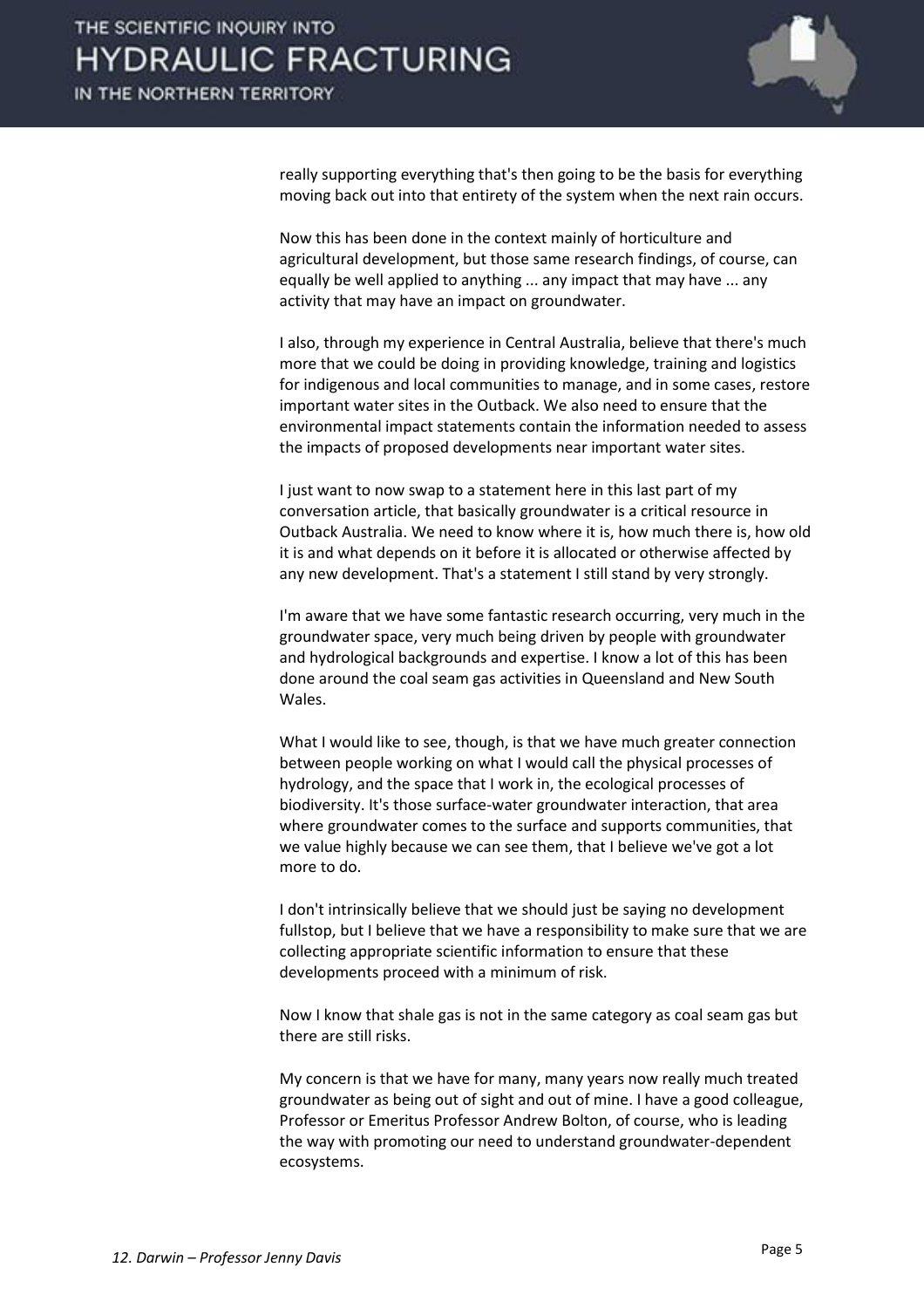

really supporting everything that's then going to be the basis for everything moving back out into that entirety of the system when the next rain occurs.

 Now this has been done in the context mainly of horticulture and agricultural development, but those same research findings, of course, can equally be well applied to anything ... any impact that may have ... any activity that may have an impact on groundwater.

 I also, through my experience in Central Australia, believe that there's much more that we could be doing in providing knowledge, training and logistics for indigenous and local communities to manage, and in some cases, restore important water sites in the Outback. We also need to ensure that the environmental impact statements contain the information needed to assess the impacts of proposed developments near important water sites.

 I just want to now swap to a statement here in this last part of my conversation article, that basically groundwater is a critical resource in Outback Australia. We need to know where it is, how much there is, how old it is and what depends on it before it is allocated or otherwise affected by any new development. That's a statement I still stand by very strongly.

 I'm aware that we have some fantastic research occurring, very much in the groundwater space, very much being driven by people with groundwater and hydrological backgrounds and expertise. I know a lot of this has been done around the coal seam gas activities in Queensland and New South Wales.

 What I would like to see, though, is that we have much greater connection between people working on what I would call the physical processes of hydrology, and the space that I work in, the ecological processes of biodiversity. It's those surface-water groundwater interaction, that area where groundwater comes to the surface and supports communities, that we value highly because we can see them, that I believe we've got a lot more to do.

 I don't intrinsically believe that we should just be saying no development fullstop, but I believe that we have a responsibility to make sure that we are collecting appropriate scientific information to ensure that these developments proceed with a minimum of risk.

 Now I know that shale gas is not in the same category as coal seam gas but there are still risks.

 My concern is that we have for many, many years now really much treated groundwater as being out of sight and out of mine. I have a good colleague, Professor or Emeritus Professor Andrew Bolton, of course, who is leading the way with promoting our need to understand groundwater-dependent ecosystems.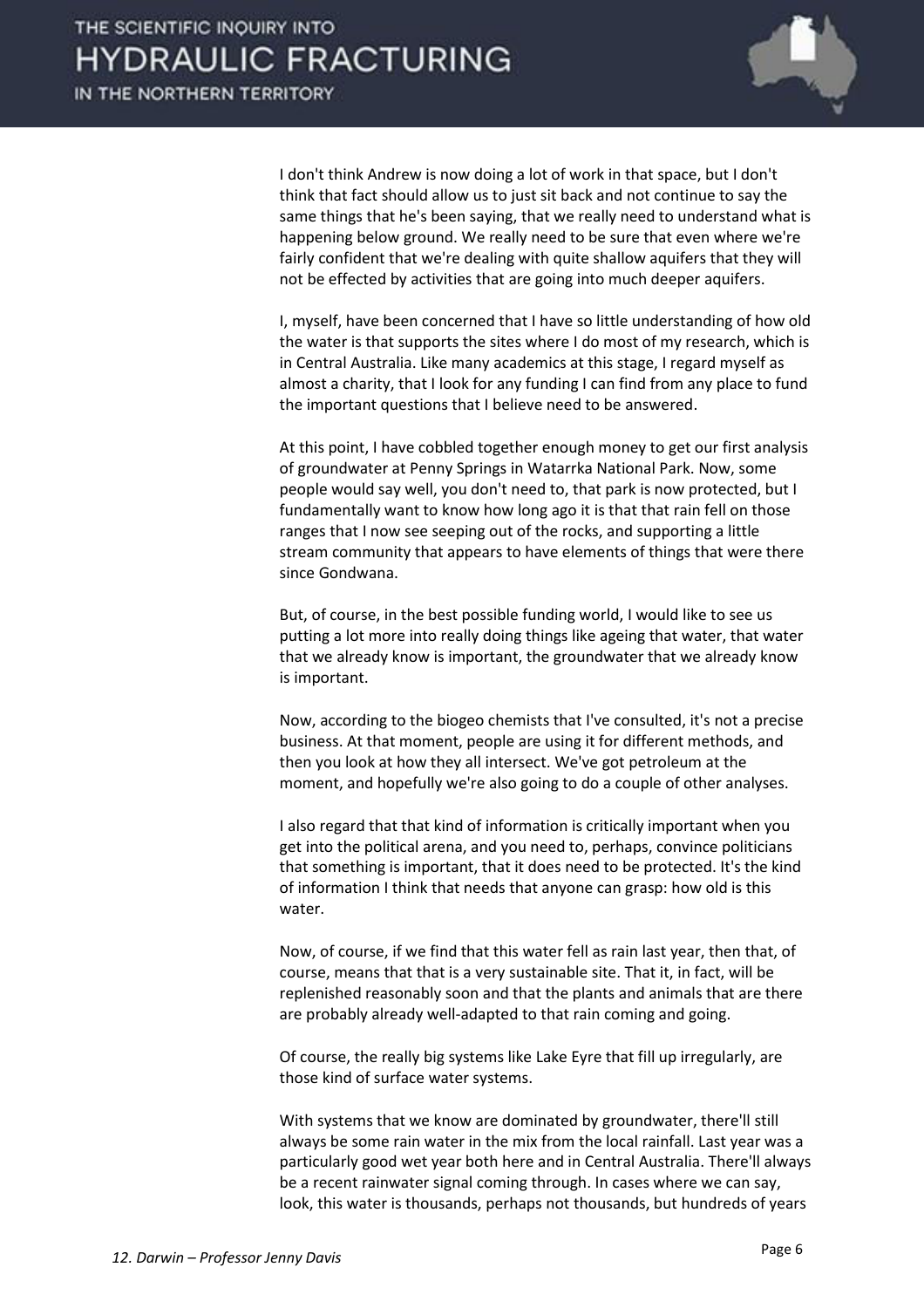

 I don't think Andrew is now doing a lot of work in that space, but I don't think that fact should allow us to just sit back and not continue to say the same things that he's been saying, that we really need to understand what is happening below ground. We really need to be sure that even where we're fairly confident that we're dealing with quite shallow aquifers that they will not be effected by activities that are going into much deeper aquifers.

 I, myself, have been concerned that I have so little understanding of how old the water is that supports the sites where I do most of my research, which is in Central Australia. Like many academics at this stage, I regard myself as almost a charity, that I look for any funding I can find from any place to fund the important questions that I believe need to be answered.

 At this point, I have cobbled together enough money to get our first analysis of groundwater at Penny Springs in Watarrka National Park. Now, some people would say well, you don't need to, that park is now protected, but I fundamentally want to know how long ago it is that that rain fell on those ranges that I now see seeping out of the rocks, and supporting a little stream community that appears to have elements of things that were there since Gondwana.

 But, of course, in the best possible funding world, I would like to see us putting a lot more into really doing things like ageing that water, that water that we already know is important, the groundwater that we already know is important.

 Now, according to the biogeo chemists that I've consulted, it's not a precise business. At that moment, people are using it for different methods, and then you look at how they all intersect. We've got petroleum at the moment, and hopefully we're also going to do a couple of other analyses.

 I also regard that that kind of information is critically important when you get into the political arena, and you need to, perhaps, convince politicians that something is important, that it does need to be protected. It's the kind of information I think that needs that anyone can grasp: how old is this water.

 Now, of course, if we find that this water fell as rain last year, then that, of course, means that that is a very sustainable site. That it, in fact, will be replenished reasonably soon and that the plants and animals that are there are probably already well-adapted to that rain coming and going.

 Of course, the really big systems like Lake Eyre that fill up irregularly, are those kind of surface water systems.

 With systems that we know are dominated by groundwater, there'll still always be some rain water in the mix from the local rainfall. Last year was a particularly good wet year both here and in Central Australia. There'll always be a recent rainwater signal coming through. In cases where we can say, look, this water is thousands, perhaps not thousands, but hundreds of years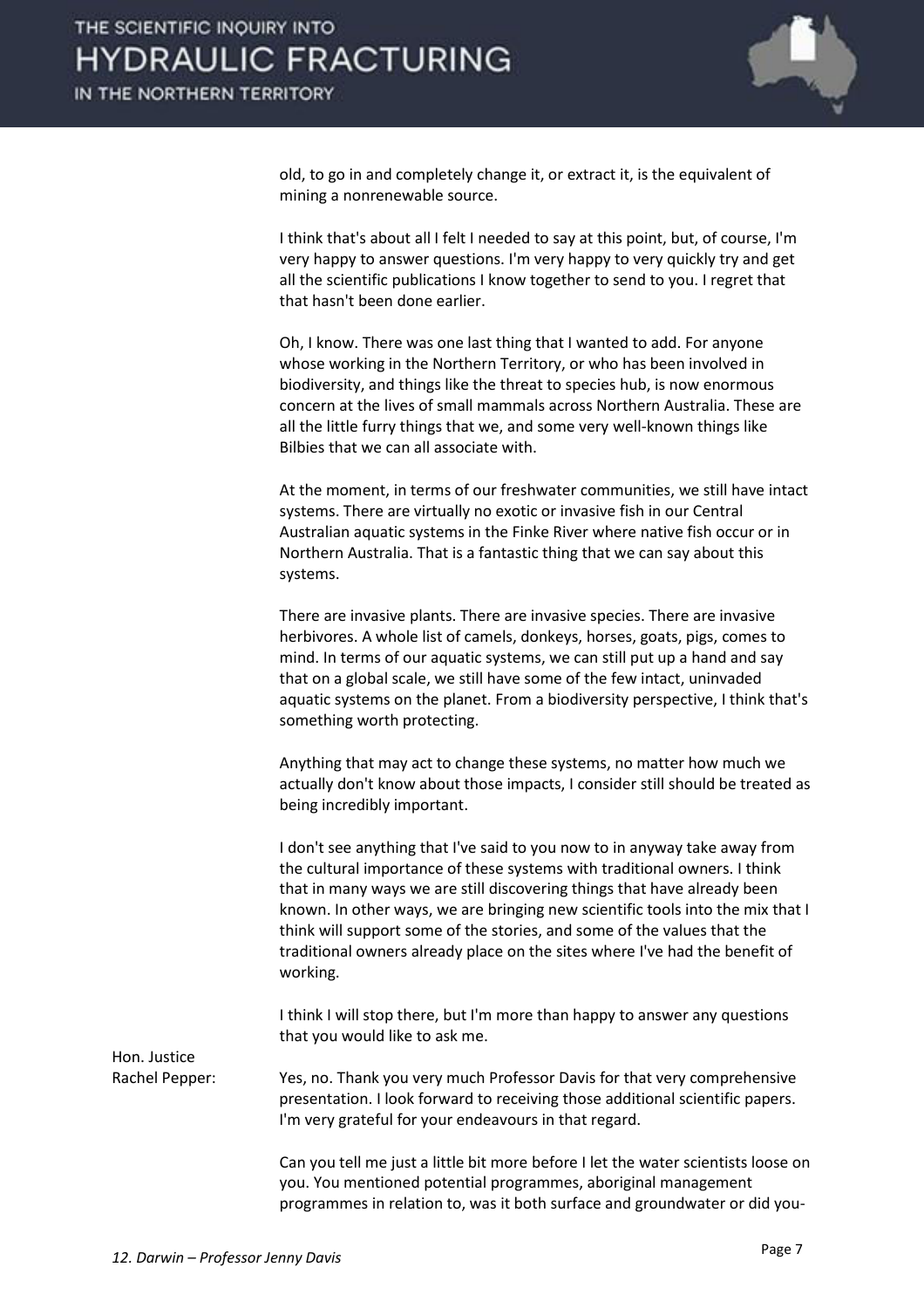

old, to go in and completely change it, or extract it, is the equivalent of mining a nonrenewable source.

 I think that's about all I felt I needed to say at this point, but, of course, I'm very happy to answer questions. I'm very happy to very quickly try and get all the scientific publications I know together to send to you. I regret that that hasn't been done earlier.

 Oh, I know. There was one last thing that I wanted to add. For anyone whose working in the Northern Territory, or who has been involved in biodiversity, and things like the threat to species hub, is now enormous concern at the lives of small mammals across Northern Australia. These are all the little furry things that we, and some very well-known things like Bilbies that we can all associate with.

 At the moment, in terms of our freshwater communities, we still have intact systems. There are virtually no exotic or invasive fish in our Central Australian aquatic systems in the Finke River where native fish occur or in Northern Australia. That is a fantastic thing that we can say about this systems.

 There are invasive plants. There are invasive species. There are invasive herbivores. A whole list of camels, donkeys, horses, goats, pigs, comes to mind. In terms of our aquatic systems, we can still put up a hand and say that on a global scale, we still have some of the few intact, uninvaded aquatic systems on the planet. From a biodiversity perspective, I think that's something worth protecting.

 Anything that may act to change these systems, no matter how much we actually don't know about those impacts, I consider still should be treated as being incredibly important.

 I don't see anything that I've said to you now to in anyway take away from the cultural importance of these systems with traditional owners. I think that in many ways we are still discovering things that have already been known. In other ways, we are bringing new scientific tools into the mix that I think will support some of the stories, and some of the values that the traditional owners already place on the sites where I've had the benefit of working.

 I think I will stop there, but I'm more than happy to answer any questions that you would like to ask me.

Hon. Justice

Rachel Pepper: Yes, no. Thank you very much Professor Davis for that very comprehensive presentation. I look forward to receiving those additional scientific papers. I'm very grateful for your endeavours in that regard.

> Can you tell me just a little bit more before I let the water scientists loose on you. You mentioned potential programmes, aboriginal management programmes in relation to, was it both surface and groundwater or did you-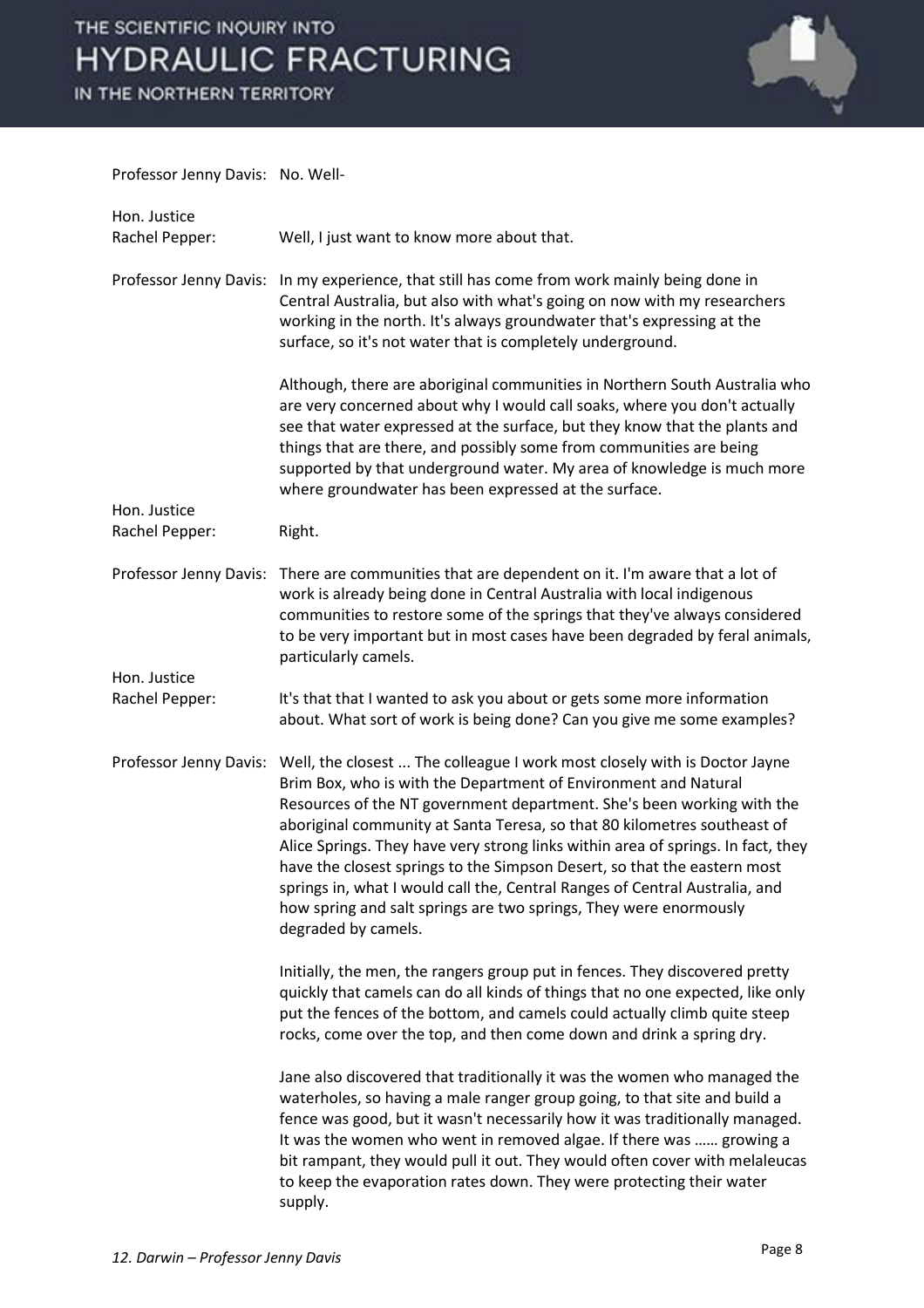IN THE NORTHERN TERRITORY



Professor Jenny Davis: No. Well-Hon. Justice Rachel Pepper: Well, I just want to know more about that. Professor Jenny Davis: In my experience, that still has come from work mainly being done in Central Australia, but also with what's going on now with my researchers working in the north. It's always groundwater that's expressing at the surface, so it's not water that is completely underground. Although, there are aboriginal communities in Northern South Australia who are very concerned about why I would call soaks, where you don't actually see that water expressed at the surface, but they know that the plants and things that are there, and possibly some from communities are being supported by that underground water. My area of knowledge is much more where groundwater has been expressed at the surface. Hon. Justice Rachel Pepper: Right. Professor Jenny Davis: There are communities that are dependent on it. I'm aware that a lot of work is already being done in Central Australia with local indigenous communities to restore some of the springs that they've always considered to be very important but in most cases have been degraded by feral animals, particularly camels. Hon. Justice Rachel Pepper: It's that that I wanted to ask you about or gets some more information about. What sort of work is being done? Can you give me some examples? Professor Jenny Davis: Well, the closest ... The colleague I work most closely with is Doctor Jayne Brim Box, who is with the Department of Environment and Natural Resources of the NT government department. She's been working with the aboriginal community at Santa Teresa, so that 80 kilometres southeast of Alice Springs. They have very strong links within area of springs. In fact, they have the closest springs to the Simpson Desert, so that the eastern most springs in, what I would call the, Central Ranges of Central Australia, and how spring and salt springs are two springs, They were enormously degraded by camels. Initially, the men, the rangers group put in fences. They discovered pretty quickly that camels can do all kinds of things that no one expected, like only put the fences of the bottom, and camels could actually climb quite steep rocks, come over the top, and then come down and drink a spring dry. Jane also discovered that traditionally it was the women who managed the waterholes, so having a male ranger group going, to that site and build a fence was good, but it wasn't necessarily how it was traditionally managed. It was the women who went in removed algae. If there was ...... growing a bit rampant, they would pull it out. They would often cover with melaleucas to keep the evaporation rates down. They were protecting their water

supply.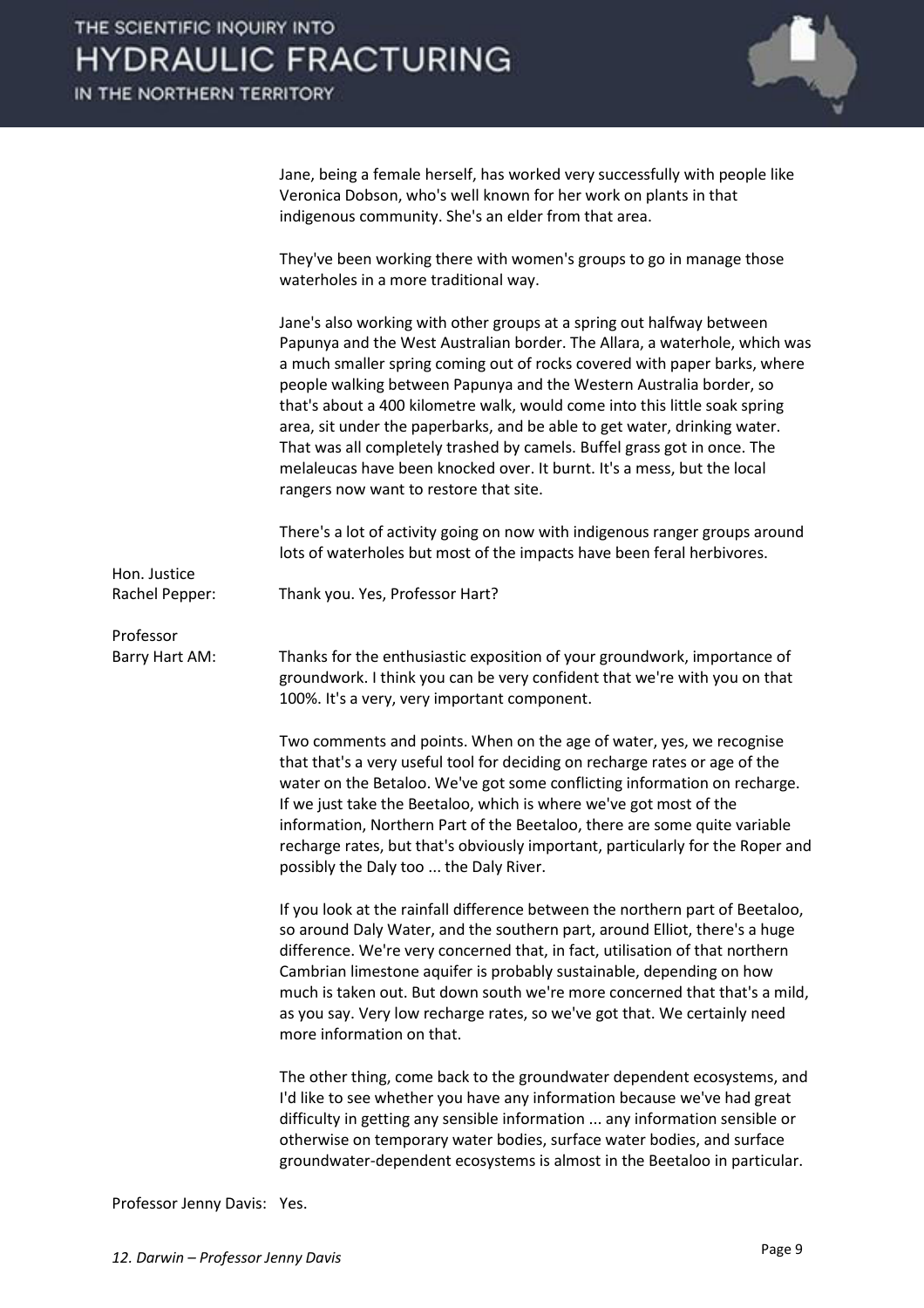IN THE NORTHERN TERRITORY



 Jane, being a female herself, has worked very successfully with people like Veronica Dobson, who's well known for her work on plants in that indigenous community. She's an elder from that area.

 They've been working there with women's groups to go in manage those waterholes in a more traditional way.

|                | Jane's also working with other groups at a spring out halfway between<br>Papunya and the West Australian border. The Allara, a waterhole, which was<br>a much smaller spring coming out of rocks covered with paper barks, where<br>people walking between Papunya and the Western Australia border, so<br>that's about a 400 kilometre walk, would come into this little soak spring<br>area, sit under the paperbarks, and be able to get water, drinking water.<br>That was all completely trashed by camels. Buffel grass got in once. The<br>melaleucas have been knocked over. It burnt. It's a mess, but the local<br>rangers now want to restore that site. |
|----------------|---------------------------------------------------------------------------------------------------------------------------------------------------------------------------------------------------------------------------------------------------------------------------------------------------------------------------------------------------------------------------------------------------------------------------------------------------------------------------------------------------------------------------------------------------------------------------------------------------------------------------------------------------------------------|
| Hon. Justice   | There's a lot of activity going on now with indigenous ranger groups around<br>lots of waterholes but most of the impacts have been feral herbivores.                                                                                                                                                                                                                                                                                                                                                                                                                                                                                                               |
| Rachel Pepper: | Thank you. Yes, Professor Hart?                                                                                                                                                                                                                                                                                                                                                                                                                                                                                                                                                                                                                                     |
| Professor      |                                                                                                                                                                                                                                                                                                                                                                                                                                                                                                                                                                                                                                                                     |
| Barry Hart AM: | Thanks for the enthusiastic exposition of your groundwork, importance of<br>groundwork. I think you can be very confident that we're with you on that<br>100%. It's a very, very important component.                                                                                                                                                                                                                                                                                                                                                                                                                                                               |
|                | Two comments and points. When on the age of water, yes, we recognise<br>that that's a very useful tool for deciding on recharge rates or age of the<br>water on the Betaloo. We've got some conflicting information on recharge.<br>If we just take the Beetaloo, which is where we've got most of the<br>information, Northern Part of the Beetaloo, there are some quite variable<br>recharge rates, but that's obviously important, particularly for the Roper and<br>possibly the Daly too  the Daly River.                                                                                                                                                     |
|                | If you look at the rainfall difference between the northern part of Beetaloo,<br>so around Daly Water, and the southern part, around Elliot, there's a huge<br>difference. We're very concerned that, in fact, utilisation of that northern<br>Cambrian limestone aquifer is probably sustainable, depending on how<br>much is taken out. But down south we're more concerned that that's a mild,<br>as you say. Very low recharge rates, so we've got that. We certainly need<br>more information on that.                                                                                                                                                         |
|                | The other thing, come back to the groundwater dependent ecosystems, and<br>I'd like to see whether you have any information because we've had great<br>difficulty in getting any sensible information  any information sensible or<br>otherwise on temporary water bodies, surface water bodies, and surface                                                                                                                                                                                                                                                                                                                                                        |

groundwater-dependent ecosystems is almost in the Beetaloo in particular.

Professor Jenny Davis: Yes.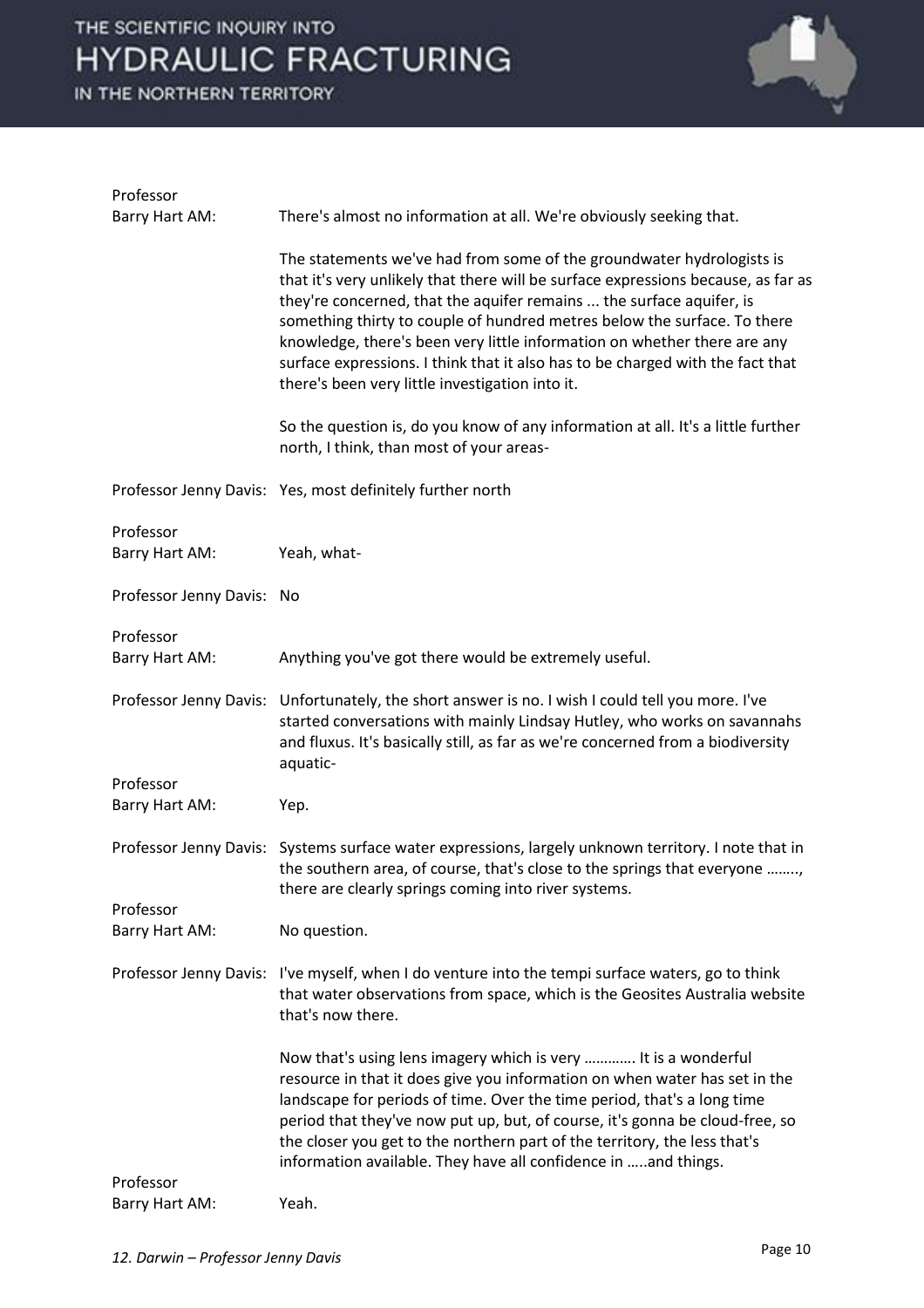

| Professor                   |                                                                                                                                                                                                                                                                                                                                                                                                                                                                                                                                 |
|-----------------------------|---------------------------------------------------------------------------------------------------------------------------------------------------------------------------------------------------------------------------------------------------------------------------------------------------------------------------------------------------------------------------------------------------------------------------------------------------------------------------------------------------------------------------------|
| Barry Hart AM:              | There's almost no information at all. We're obviously seeking that.                                                                                                                                                                                                                                                                                                                                                                                                                                                             |
|                             | The statements we've had from some of the groundwater hydrologists is<br>that it's very unlikely that there will be surface expressions because, as far as<br>they're concerned, that the aquifer remains  the surface aquifer, is<br>something thirty to couple of hundred metres below the surface. To there<br>knowledge, there's been very little information on whether there are any<br>surface expressions. I think that it also has to be charged with the fact that<br>there's been very little investigation into it. |
|                             | So the question is, do you know of any information at all. It's a little further<br>north, I think, than most of your areas-                                                                                                                                                                                                                                                                                                                                                                                                    |
|                             | Professor Jenny Davis: Yes, most definitely further north                                                                                                                                                                                                                                                                                                                                                                                                                                                                       |
| Professor<br>Barry Hart AM: | Yeah, what-                                                                                                                                                                                                                                                                                                                                                                                                                                                                                                                     |
| Professor Jenny Davis: No   |                                                                                                                                                                                                                                                                                                                                                                                                                                                                                                                                 |
| Professor<br>Barry Hart AM: | Anything you've got there would be extremely useful.                                                                                                                                                                                                                                                                                                                                                                                                                                                                            |
|                             | Professor Jenny Davis: Unfortunately, the short answer is no. I wish I could tell you more. I've<br>started conversations with mainly Lindsay Hutley, who works on savannahs<br>and fluxus. It's basically still, as far as we're concerned from a biodiversity<br>aquatic-                                                                                                                                                                                                                                                     |
| Professor<br>Barry Hart AM: | Yep.                                                                                                                                                                                                                                                                                                                                                                                                                                                                                                                            |
|                             | Professor Jenny Davis: Systems surface water expressions, largely unknown territory. I note that in<br>the southern area, of course, that's close to the springs that everyone ,<br>there are clearly springs coming into river systems.                                                                                                                                                                                                                                                                                        |
| Professor<br>Barry Hart AM: | No question.                                                                                                                                                                                                                                                                                                                                                                                                                                                                                                                    |
| Professor Jenny Davis:      | I've myself, when I do venture into the tempi surface waters, go to think<br>that water observations from space, which is the Geosites Australia website<br>that's now there.                                                                                                                                                                                                                                                                                                                                                   |
|                             | Now that's using lens imagery which is very  It is a wonderful<br>resource in that it does give you information on when water has set in the<br>landscape for periods of time. Over the time period, that's a long time<br>period that they've now put up, but, of course, it's gonna be cloud-free, so<br>the closer you get to the northern part of the territory, the less that's<br>information available. They have all confidence in and things.                                                                          |
| Professor<br>Barry Hart AM: | Yeah.                                                                                                                                                                                                                                                                                                                                                                                                                                                                                                                           |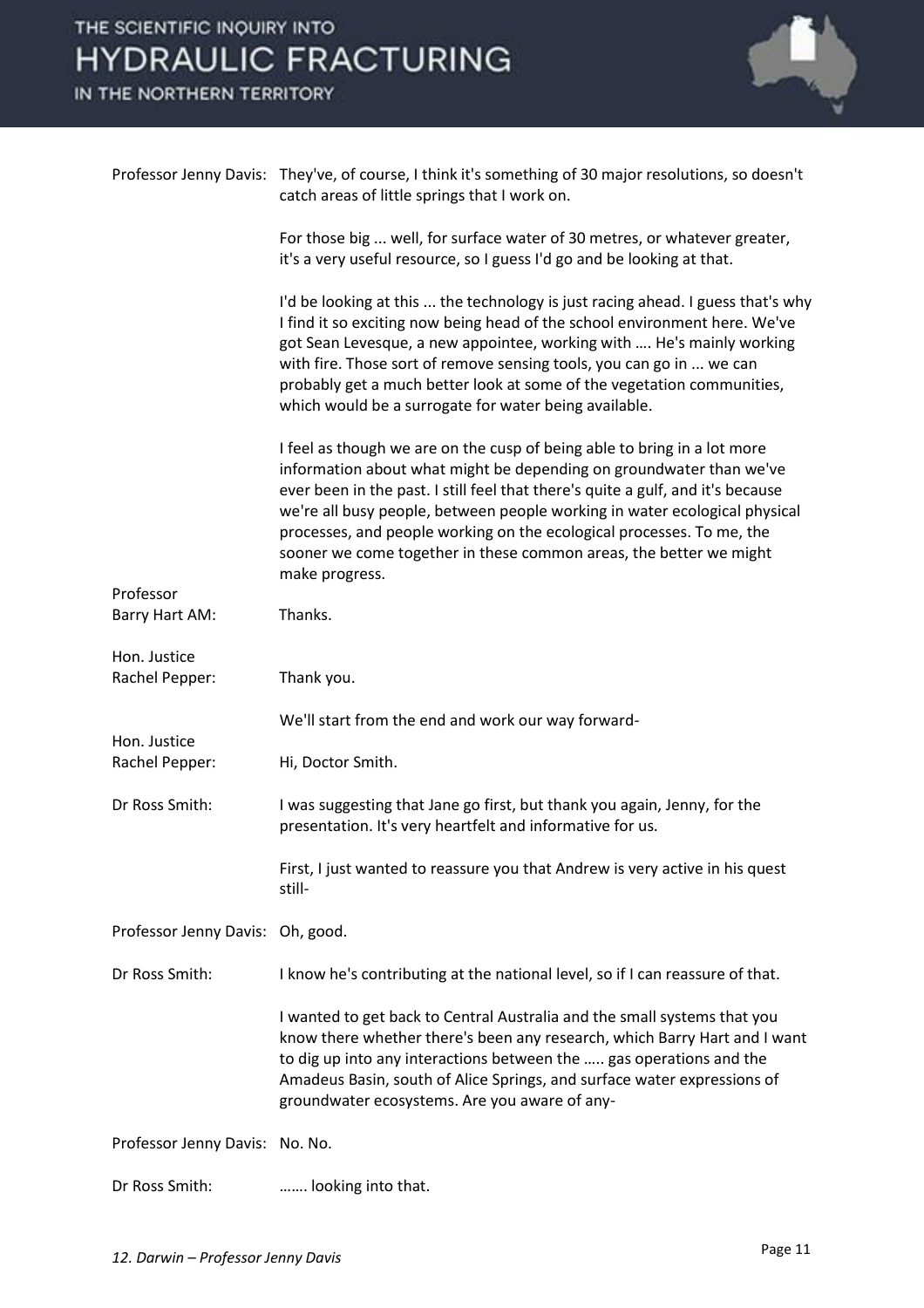

|                                  | Professor Jenny Davis: They've, of course, I think it's something of 30 major resolutions, so doesn't<br>catch areas of little springs that I work on.                                                                                                                                                                                                                                                                                                                            |
|----------------------------------|-----------------------------------------------------------------------------------------------------------------------------------------------------------------------------------------------------------------------------------------------------------------------------------------------------------------------------------------------------------------------------------------------------------------------------------------------------------------------------------|
|                                  | For those big  well, for surface water of 30 metres, or whatever greater,<br>it's a very useful resource, so I guess I'd go and be looking at that.                                                                                                                                                                                                                                                                                                                               |
|                                  | I'd be looking at this  the technology is just racing ahead. I guess that's why<br>I find it so exciting now being head of the school environment here. We've<br>got Sean Levesque, a new appointee, working with  He's mainly working<br>with fire. Those sort of remove sensing tools, you can go in  we can<br>probably get a much better look at some of the vegetation communities,<br>which would be a surrogate for water being available.                                 |
|                                  | I feel as though we are on the cusp of being able to bring in a lot more<br>information about what might be depending on groundwater than we've<br>ever been in the past. I still feel that there's quite a gulf, and it's because<br>we're all busy people, between people working in water ecological physical<br>processes, and people working on the ecological processes. To me, the<br>sooner we come together in these common areas, the better we might<br>make progress. |
| Professor<br>Barry Hart AM:      | Thanks.                                                                                                                                                                                                                                                                                                                                                                                                                                                                           |
| Hon. Justice<br>Rachel Pepper:   | Thank you.                                                                                                                                                                                                                                                                                                                                                                                                                                                                        |
| Hon. Justice                     | We'll start from the end and work our way forward-                                                                                                                                                                                                                                                                                                                                                                                                                                |
| Rachel Pepper:                   | Hi, Doctor Smith.                                                                                                                                                                                                                                                                                                                                                                                                                                                                 |
| Dr Ross Smith:                   | I was suggesting that Jane go first, but thank you again, Jenny, for the<br>presentation. It's very heartfelt and informative for us.                                                                                                                                                                                                                                                                                                                                             |
|                                  | First, I just wanted to reassure you that Andrew is very active in his quest<br>still-                                                                                                                                                                                                                                                                                                                                                                                            |
| Professor Jenny Davis: Oh, good. |                                                                                                                                                                                                                                                                                                                                                                                                                                                                                   |
| Dr Ross Smith:                   | I know he's contributing at the national level, so if I can reassure of that.                                                                                                                                                                                                                                                                                                                                                                                                     |
|                                  | I wanted to get back to Central Australia and the small systems that you<br>know there whether there's been any research, which Barry Hart and I want<br>to dig up into any interactions between the  gas operations and the<br>Amadeus Basin, south of Alice Springs, and surface water expressions of<br>groundwater ecosystems. Are you aware of any-                                                                                                                          |
| Professor Jenny Davis: No. No.   |                                                                                                                                                                                                                                                                                                                                                                                                                                                                                   |
| Dr Ross Smith:                   | looking into that.                                                                                                                                                                                                                                                                                                                                                                                                                                                                |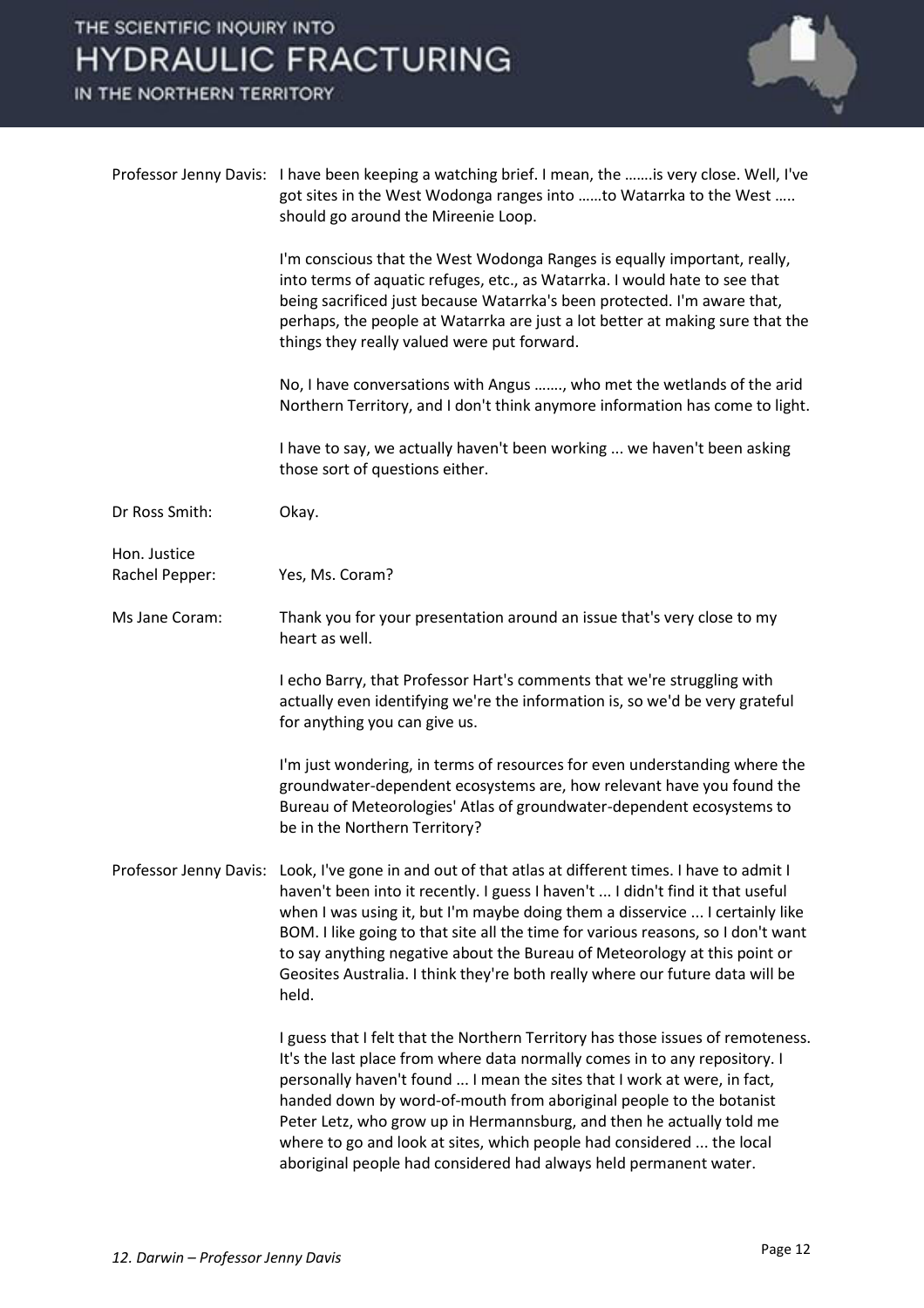

|                                | Professor Jenny Davis: I have been keeping a watching brief. I mean, the  is very close. Well, I've<br>got sites in the West Wodonga ranges into to Watarrka to the West<br>should go around the Mireenie Loop.                                                                                                                                                                                                                                                                                                                         |
|--------------------------------|-----------------------------------------------------------------------------------------------------------------------------------------------------------------------------------------------------------------------------------------------------------------------------------------------------------------------------------------------------------------------------------------------------------------------------------------------------------------------------------------------------------------------------------------|
|                                | I'm conscious that the West Wodonga Ranges is equally important, really,<br>into terms of aquatic refuges, etc., as Watarrka. I would hate to see that<br>being sacrificed just because Watarrka's been protected. I'm aware that,<br>perhaps, the people at Watarrka are just a lot better at making sure that the<br>things they really valued were put forward.                                                                                                                                                                      |
|                                | No, I have conversations with Angus , who met the wetlands of the arid<br>Northern Territory, and I don't think anymore information has come to light.                                                                                                                                                                                                                                                                                                                                                                                  |
|                                | I have to say, we actually haven't been working  we haven't been asking<br>those sort of questions either.                                                                                                                                                                                                                                                                                                                                                                                                                              |
| Dr Ross Smith:                 | Okay.                                                                                                                                                                                                                                                                                                                                                                                                                                                                                                                                   |
| Hon. Justice<br>Rachel Pepper: | Yes, Ms. Coram?                                                                                                                                                                                                                                                                                                                                                                                                                                                                                                                         |
| Ms Jane Coram:                 | Thank you for your presentation around an issue that's very close to my<br>heart as well.                                                                                                                                                                                                                                                                                                                                                                                                                                               |
|                                | I echo Barry, that Professor Hart's comments that we're struggling with<br>actually even identifying we're the information is, so we'd be very grateful<br>for anything you can give us.                                                                                                                                                                                                                                                                                                                                                |
|                                | I'm just wondering, in terms of resources for even understanding where the<br>groundwater-dependent ecosystems are, how relevant have you found the<br>Bureau of Meteorologies' Atlas of groundwater-dependent ecosystems to<br>be in the Northern Territory?                                                                                                                                                                                                                                                                           |
|                                | Professor Jenny Davis: Look, I've gone in and out of that atlas at different times. I have to admit I<br>haven't been into it recently. I guess I haven't  I didn't find it that useful<br>when I was using it, but I'm maybe doing them a disservice  I certainly like<br>BOM. I like going to that site all the time for various reasons, so I don't want<br>to say anything negative about the Bureau of Meteorology at this point or<br>Geosites Australia. I think they're both really where our future data will be<br>held.      |
|                                | I guess that I felt that the Northern Territory has those issues of remoteness.<br>It's the last place from where data normally comes in to any repository. I<br>personally haven't found  I mean the sites that I work at were, in fact,<br>handed down by word-of-mouth from aboriginal people to the botanist<br>Peter Letz, who grow up in Hermannsburg, and then he actually told me<br>where to go and look at sites, which people had considered  the local<br>aboriginal people had considered had always held permanent water. |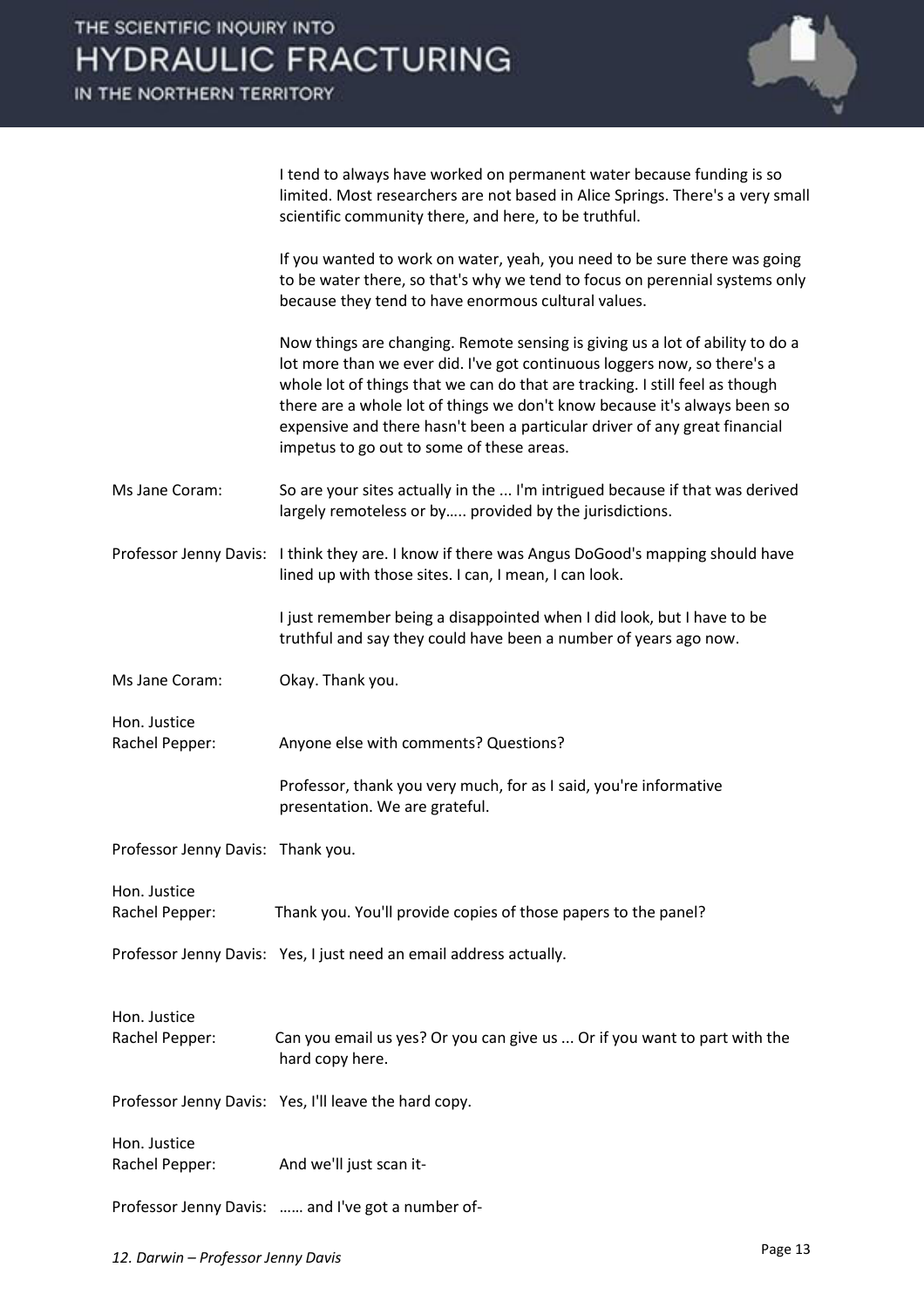IN THE NORTHERN TERRITORY



 I tend to always have worked on permanent water because funding is so limited. Most researchers are not based in Alice Springs. There's a very small scientific community there, and here, to be truthful.

 If you wanted to work on water, yeah, you need to be sure there was going to be water there, so that's why we tend to focus on perennial systems only because they tend to have enormous cultural values.

 Now things are changing. Remote sensing is giving us a lot of ability to do a lot more than we ever did. I've got continuous loggers now, so there's a whole lot of things that we can do that are tracking. I still feel as though there are a whole lot of things we don't know because it's always been so expensive and there hasn't been a particular driver of any great financial impetus to go out to some of these areas.

- Ms Jane Coram: So are your sites actually in the ... I'm intrigued because if that was derived largely remoteless or by..... provided by the jurisdictions.
- Professor Jenny Davis: I think they are. I know if there was Angus DoGood's mapping should have lined up with those sites. I can, I mean, I can look.

 I just remember being a disappointed when I did look, but I have to be truthful and say they could have been a number of years ago now.

Ms Jane Coram: Okay. Thank you.

Hon. Justice

Rachel Pepper: Anyone else with comments? Questions?

 Professor, thank you very much, for as I said, you're informative presentation. We are grateful.

Professor Jenny Davis: Thank you.

| Hon. Justice   |                                                                |
|----------------|----------------------------------------------------------------|
| Rachel Pepper: | Thank you. You'll provide copies of those papers to the panel? |
|                |                                                                |

- Professor Jenny Davis: Yes, I just need an email address actually.
- Hon. Justice Rachel Pepper: Can you email us yes? Or you can give us ... Or if you want to part with the hard copy here.

Professor Jenny Davis: Yes, I'll leave the hard copy.

Hon. Justice Rachel Pepper: And we'll just scan it-

Professor Jenny Davis: ...... and I've got a number of-